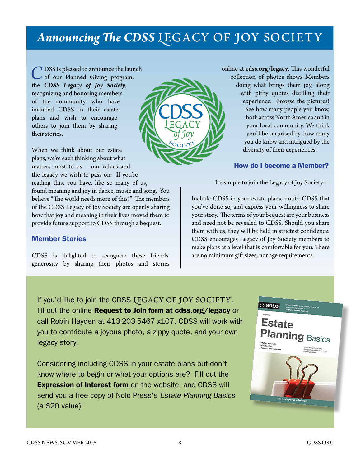## **Announcing The CDSS LEGACY OF JOY SOCIETY**

<sup>7</sup> DSS is pleased to announce the launch of our Planned Giving program, the *CDSS Legacy of Joy Society*, recognizing and honoring members of the community who have included CDSS in their estate plans and wish to encourage others to join them by sharing their stories.

When we think about our estate plans, we're each thinking about what matters most to us – our values and the legacy we wish to pass on. If you're

reading this, you have, like so many of us, found meaning and joy in dance, music and song. You believe "The world needs more of this!" The members of the CDSS Legacy of Joy Society are openly sharing how that joy and meaning in their lives moved them to provide future support to CDSS through a bequest.

## Member Stories

CDSS is delighted to recognize these friends' generosity by sharing their photos and stories



online at **[cdss.org/legacy](http://www.cdss.org/legacy)**. This wonderful collection of photos shows Members doing what brings them joy, along with pithy quotes distilling their experience. Browse the pictures! See how many people you know, both across North America and in your local community. We think you'll be surprised by how many you do know and intrigued by the diversity of their experiences.

## How do I become a Member?

It's simple to join the Legacy of Joy Society:

Include CDSS in your estate plans, notify CDSS that you've done so, and express your willingness to share your story. The terms of your bequest are your business and need not be revealed to CDSS. Should you share them with us, they will be held in strictest confidence. CDSS encourages Legacy of Joy Society members to make plans at a level that is comfortable for you. There are no minimum gift sizes, nor age requirements.

If you'd like to join the CDSS LEGACY OF JOY SOCIETY, fill out the online **Request to Join form at [cdss.org/legacy](https://www.cdss.org/legacy)** or call Robin Hayden at 413-203-5467 x107. CDSS will work with you to contribute a joyous photo, a zippy quote, and your own legacy story.

Considering including CDSS in your estate plans but don't know where to begin or what your options are? Fill out the **Expression of Interest form** on the website, and CDSS will send you a free copy of Nolo Press's *Estate Planning Basics* (a \$20 value)!